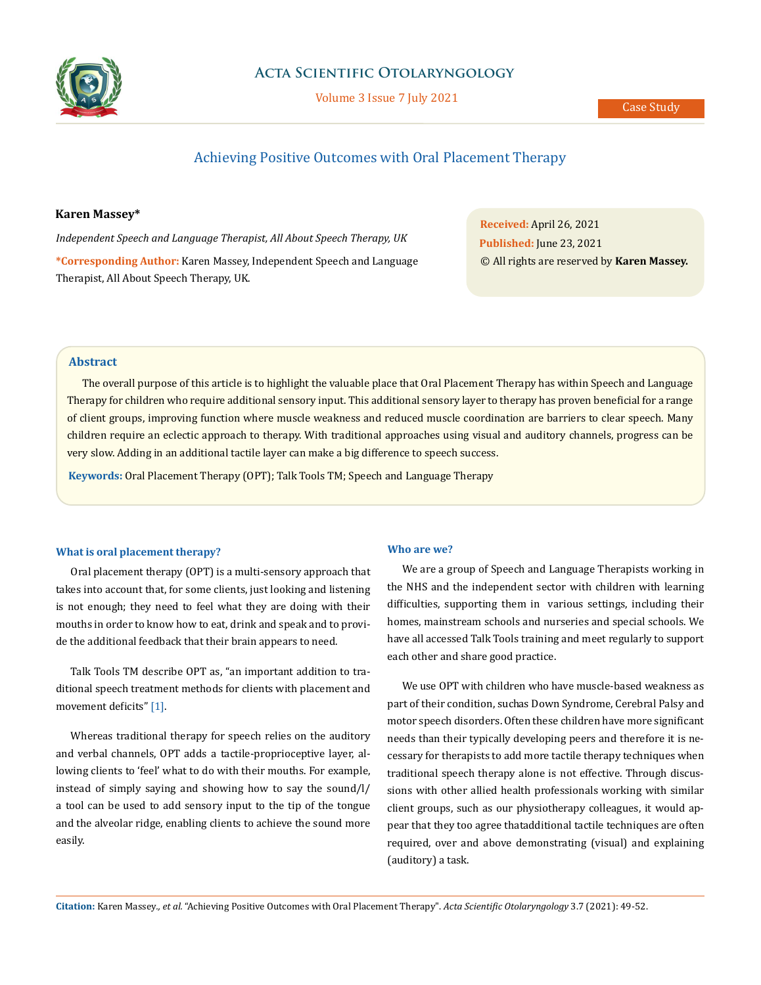

## **Acta Scientific Otolaryngology**

Volume 3 Issue 7 July 2021

# Achieving Positive Outcomes with Oral Placement Therapy

### **Karen Massey\***

*Independent Speech and Language Therapist, All About Speech Therapy, UK*  **\*Corresponding Author:** Karen Massey, Independent Speech and Language Therapist, All About Speech Therapy, UK.

**Received:** April 26, 2021 **Published:** June 23, 2021 © All rights are reserved by **Karen Massey.**

### **Abstract**

The overall purpose of this article is to highlight the valuable place that Oral Placement Therapy has within Speech and Language Therapy for children who require additional sensory input. This additional sensory layer to therapy has proven beneficial for a range of client groups, improving function where muscle weakness and reduced muscle coordination are barriers to clear speech. Many children require an eclectic approach to therapy. With traditional approaches using visual and auditory channels, progress can be very slow. Adding in an additional tactile layer can make a big difference to speech success.

**Keywords:** Oral Placement Therapy (OPT); Talk Tools TM; Speech and Language Therapy

#### **What is oral placement therapy?**

Oral placement therapy (OPT) is a multi-sensory approach that takes into account that, for some clients, just looking and listening is not enough; they need to feel what they are doing with their mouths in order to know how to eat, drink and speak and to provide the additional feedback that their brain appears to need.

Talk Tools TM describe OPT as, "an important addition to traditional speech treatment methods for clients with placement and movement deficits" [1].

Whereas traditional therapy for speech relies on the auditory and verbal channels, OPT adds a tactile-proprioceptive layer, allowing clients to 'feel' what to do with their mouths. For example, instead of simply saying and showing how to say the sound/l/ a tool can be used to add sensory input to the tip of the tongue and the alveolar ridge, enabling clients to achieve the sound more easily.

#### **Who are we?**

We are a group of Speech and Language Therapists working in the NHS and the independent sector with children with learning difficulties, supporting them in various settings, including their homes, mainstream schools and nurseries and special schools. We have all accessed Talk Tools training and meet regularly to support each other and share good practice.

We use OPT with children who have muscle-based weakness as part of their condition, suchas Down Syndrome, Cerebral Palsy and motor speech disorders. Often these children have more significant needs than their typically developing peers and therefore it is necessary for therapists to add more tactile therapy techniques when traditional speech therapy alone is not effective. Through discussions with other allied health professionals working with similar client groups, such as our physiotherapy colleagues, it would appear that they too agree that additional tactile techniques are often required, over and above demonstrating (visual) and explaining (auditory) a task.

**Citation:** Karen Massey*., et al.* "Achieving Positive Outcomes with Oral Placement Therapy". *Acta Scientific Otolaryngology* 3.7 (2021): 49-52.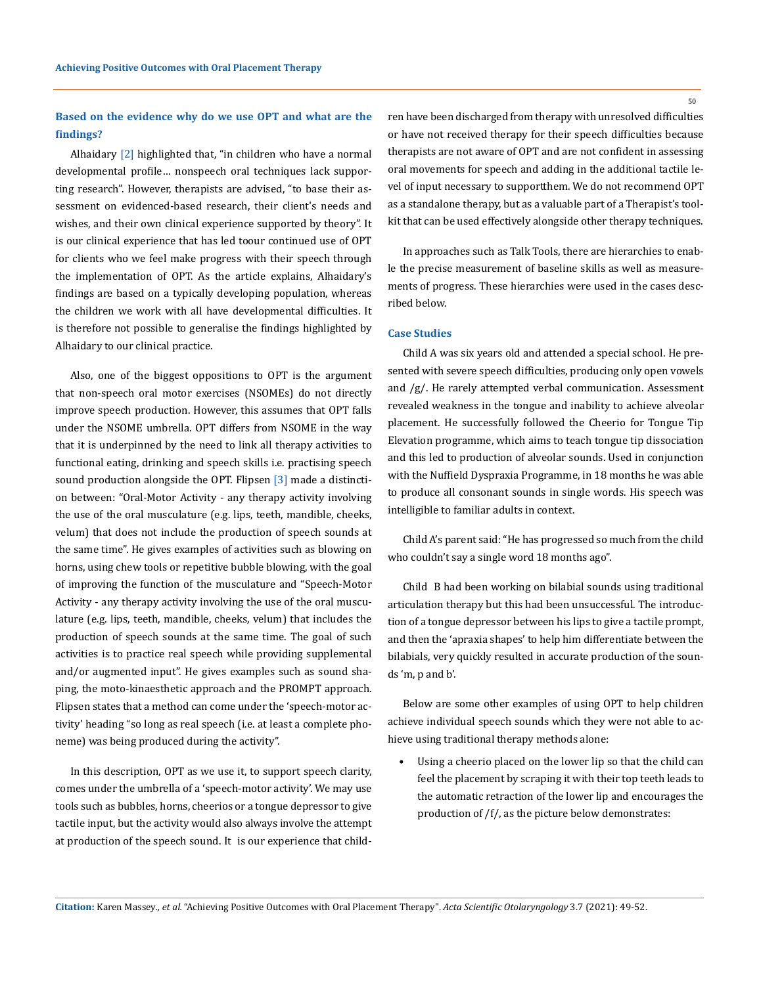## **Based on the evidence why do we use OPT and what are the findings?**

Alhaidary [2] highlighted that, "in children who have a normal developmental profile… nonspeech oral techniques lack supporting research". However, therapists are advised, "to base their assessment on evidenced-based research, their client's needs and wishes, and their own clinical experience supported by theory". It is our clinical experience that has led toour continued use of OPT for clients who we feel make progress with their speech through the implementation of OPT. As the article explains, Alhaidary's findings are based on a typically developing population, whereas the children we work with all have developmental difficulties. It is therefore not possible to generalise the findings highlighted by Alhaidary to our clinical practice.

Also, one of the biggest oppositions to OPT is the argument that non-speech oral motor exercises (NSOMEs) do not directly improve speech production. However, this assumes that OPT falls under the NSOME umbrella. OPT differs from NSOME in the way that it is underpinned by the need to link all therapy activities to functional eating, drinking and speech skills i.e. practising speech sound production alongside the OPT. Flipsen [3] made a distinction between: "Oral-Motor Activity - any therapy activity involving the use of the oral musculature (e.g. lips, teeth, mandible, cheeks, velum) that does not include the production of speech sounds at the same time". He gives examples of activities such as blowing on horns, using chew tools or repetitive bubble blowing, with the goal of improving the function of the musculature and "Speech-Motor Activity - any therapy activity involving the use of the oral musculature (e.g. lips, teeth, mandible, cheeks, velum) that includes the production of speech sounds at the same time. The goal of such activities is to practice real speech while providing supplemental and/or augmented input". He gives examples such as sound shaping, the moto-kinaesthetic approach and the PROMPT approach. Flipsen states that a method can come under the 'speech-motor activity' heading "so long as real speech (i.e. at least a complete phoneme) was being produced during the activity".

In this description, OPT as we use it, to support speech clarity, comes under the umbrella of a 'speech-motor activity'. We may use tools such as bubbles, horns, cheerios or a tongue depressor to give tactile input, but the activity would also always involve the attempt at production of the speech sound. It is our experience that children have been discharged from therapy with unresolved difficulties or have not received therapy for their speech difficulties because therapists are not aware of OPT and are not confident in assessing oral movements for speech and adding in the additional tactile level of input necessary to support them. We do not recommend OPT as a standalone therapy, but as a valuable part of a Therapist's toolkit that can be used effectively alongside other therapy techniques.

In approaches such as Talk Tools, there are hierarchies to enable the precise measurement of baseline skills as well as measurements of progress. These hierarchies were used in the cases described below.

#### **Case Studies**

Child A was six years old and attended a special school. He presented with severe speech difficulties, producing only open vowels and /g/. He rarely attempted verbal communication. Assessment revealed weakness in the tongue and inability to achieve alveolar placement. He successfully followed the Cheerio for Tongue Tip Elevation programme, which aims to teach tongue tip dissociation and this led to production of alveolar sounds. Used in conjunction with the Nuffield Dyspraxia Programme, in 18 months he was able to produce all consonant sounds in single words. His speech was intelligible to familiar adults in context.

Child A's parent said: "He has progressed so much from the child who couldn't say a single word 18 months ago".

Child B had been working on bilabial sounds using traditional articulation therapy but this had been unsuccessful. The introduction of a tongue depressor between his lips to give a tactile prompt, and then the 'apraxia shapes' to help him differentiate between the bilabials, very quickly resulted in accurate production of the sounds 'm, p and b'.

Below are some other examples of using OPT to help children achieve individual speech sounds which they were not able to achieve using traditional therapy methods alone:

Using a cheerio placed on the lower lip so that the child can feel the placement by scraping it with their top teeth leads to the automatic retraction of the lower lip and encourages the production of /f/, as the picture below demonstrates:

50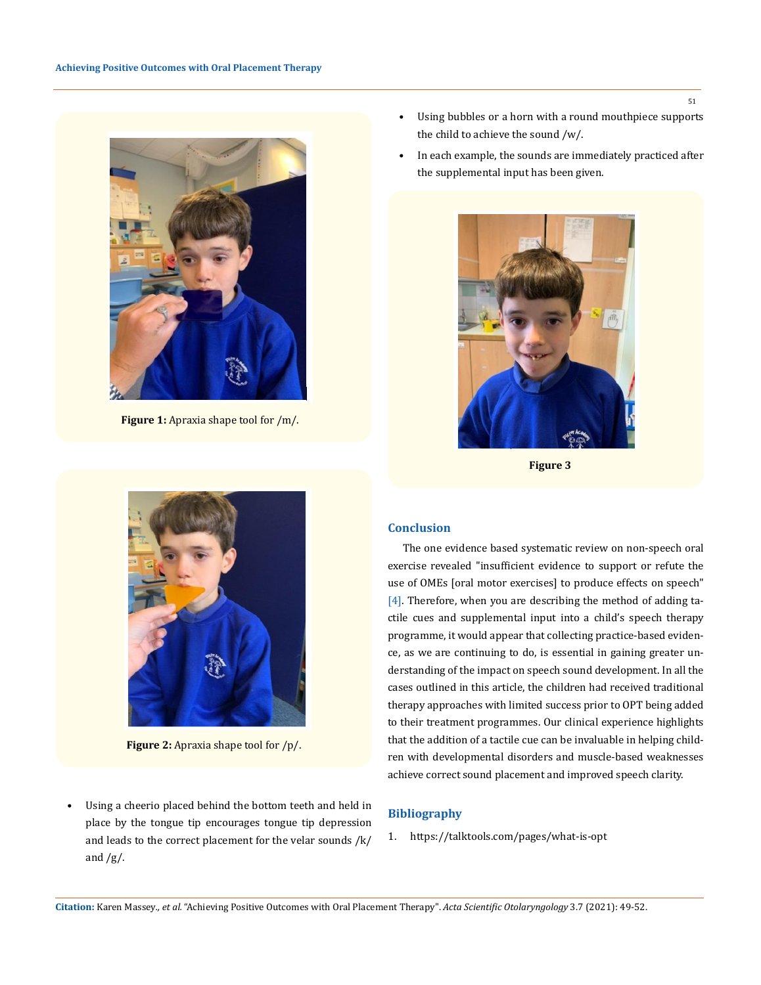

**Figure 1:** Apraxia shape tool for /m/.



**Figure 2:** Apraxia shape tool for /p/.

Using a cheerio placed behind the bottom teeth and held in place by the tongue tip encourages tongue tip depression and leads to the correct placement for the velar sounds /k/ and  $/g/$ .

- Using bubbles or a horn with a round mouthpiece supports the child to achieve the sound /w/.
- In each example, the sounds are immediately practiced after the supplemental input has been given.



**Figure 3**

### **Conclusion**

The one evidence based systematic review on non-speech oral exercise revealed "insufficient evidence to support or refute the use of OMEs [oral motor exercises] to produce effects on speech" [4]. Therefore, when you are describing the method of adding tactile cues and supplemental input into a child's speech therapy programme, it would appear that collecting practice-based evidence, as we are continuing to do, is essential in gaining greater understanding of the impact on speech sound development. In all the cases outlined in this article, the children had received traditional therapy approaches with limited success prior to OPT being added to their treatment programmes. Our clinical experience highlights that the addition of a tactile cue can be invaluable in helping children with developmental disorders and muscle-based weaknesses achieve correct sound placement and improved speech clarity.

#### **Bibliography**

1. <https://talktools.com/pages/what-is-opt>

**Citation:** Karen Massey*., et al.* "Achieving Positive Outcomes with Oral Placement Therapy". *Acta Scientific Otolaryngology* 3.7 (2021): 49-52.